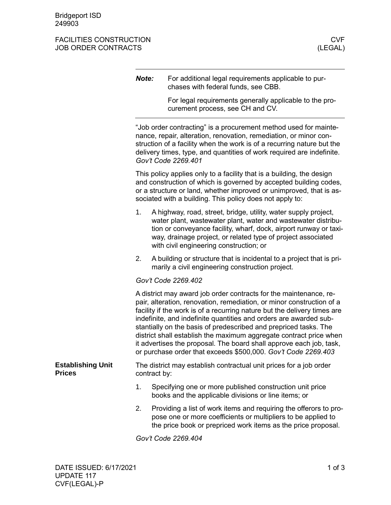## FACILITIES CONSTRUCTION CONSTRUCTION CONSTRUCTION CONSTRUCTION CONSTRUCTION CONSTRUCTION CONSTRUCTION CONSTRUCTION JOB ORDER CONTRACTS

|                                           | Note: |                                                                                                                                                                                                                                                                                                                 | For additional legal requirements applicable to pur-<br>chases with federal funds, see CBB.                                                                                                                                                                                                                                                                                                                                                                                                                                                                                   |  |  |
|-------------------------------------------|-------|-----------------------------------------------------------------------------------------------------------------------------------------------------------------------------------------------------------------------------------------------------------------------------------------------------------------|-------------------------------------------------------------------------------------------------------------------------------------------------------------------------------------------------------------------------------------------------------------------------------------------------------------------------------------------------------------------------------------------------------------------------------------------------------------------------------------------------------------------------------------------------------------------------------|--|--|
|                                           |       |                                                                                                                                                                                                                                                                                                                 | For legal requirements generally applicable to the pro-<br>curement process, see CH and CV.                                                                                                                                                                                                                                                                                                                                                                                                                                                                                   |  |  |
|                                           |       | "Job order contracting" is a procurement method used for mainte-<br>nance, repair, alteration, renovation, remediation, or minor con-<br>struction of a facility when the work is of a recurring nature but the<br>delivery times, type, and quantities of work required are indefinite.<br>Gov't Code 2269.401 |                                                                                                                                                                                                                                                                                                                                                                                                                                                                                                                                                                               |  |  |
|                                           |       | This policy applies only to a facility that is a building, the design<br>and construction of which is governed by accepted building codes,<br>or a structure or land, whether improved or unimproved, that is as-<br>sociated with a building. This policy does not apply to:                                   |                                                                                                                                                                                                                                                                                                                                                                                                                                                                                                                                                                               |  |  |
|                                           | 1.    |                                                                                                                                                                                                                                                                                                                 | A highway, road, street, bridge, utility, water supply project,<br>water plant, wastewater plant, water and wastewater distribu-<br>tion or conveyance facility, wharf, dock, airport runway or taxi-<br>way, drainage project, or related type of project associated<br>with civil engineering construction; or                                                                                                                                                                                                                                                              |  |  |
|                                           | 2.    |                                                                                                                                                                                                                                                                                                                 | A building or structure that is incidental to a project that is pri-<br>marily a civil engineering construction project.                                                                                                                                                                                                                                                                                                                                                                                                                                                      |  |  |
|                                           |       |                                                                                                                                                                                                                                                                                                                 | Gov't Code 2269.402                                                                                                                                                                                                                                                                                                                                                                                                                                                                                                                                                           |  |  |
|                                           |       |                                                                                                                                                                                                                                                                                                                 | A district may award job order contracts for the maintenance, re-<br>pair, alteration, renovation, remediation, or minor construction of a<br>facility if the work is of a recurring nature but the delivery times are<br>indefinite, and indefinite quantities and orders are awarded sub-<br>stantially on the basis of predescribed and prepriced tasks. The<br>district shall establish the maximum aggregate contract price when<br>it advertises the proposal. The board shall approve each job, task,<br>or purchase order that exceeds \$500,000. Gov't Code 2269.403 |  |  |
| <b>Establishing Unit</b><br><b>Prices</b> |       | The district may establish contractual unit prices for a job order<br>contract by:                                                                                                                                                                                                                              |                                                                                                                                                                                                                                                                                                                                                                                                                                                                                                                                                                               |  |  |
|                                           | 1.    |                                                                                                                                                                                                                                                                                                                 | Specifying one or more published construction unit price<br>books and the applicable divisions or line items; or                                                                                                                                                                                                                                                                                                                                                                                                                                                              |  |  |
|                                           | 2.    |                                                                                                                                                                                                                                                                                                                 | Providing a list of work items and requiring the offerors to pro-<br>pose one or more coefficients or multipliers to be applied to<br>the price book or prepriced work items as the price proposal.                                                                                                                                                                                                                                                                                                                                                                           |  |  |
|                                           |       |                                                                                                                                                                                                                                                                                                                 | Gov't Code 2269.404                                                                                                                                                                                                                                                                                                                                                                                                                                                                                                                                                           |  |  |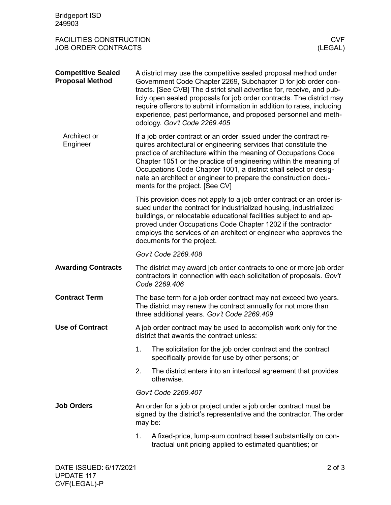| <b>Bridgeport ISD</b><br>249903                                                       |                                                                                                                                                                                                                                                                                                                                                                                                                                                                |                                                                                                                                                                                                                                                                                                                                                                                       |  |  |
|---------------------------------------------------------------------------------------|----------------------------------------------------------------------------------------------------------------------------------------------------------------------------------------------------------------------------------------------------------------------------------------------------------------------------------------------------------------------------------------------------------------------------------------------------------------|---------------------------------------------------------------------------------------------------------------------------------------------------------------------------------------------------------------------------------------------------------------------------------------------------------------------------------------------------------------------------------------|--|--|
| <b>FACILITIES CONSTRUCTION</b><br><b>CVF</b><br><b>JOB ORDER CONTRACTS</b><br>(LEGAL) |                                                                                                                                                                                                                                                                                                                                                                                                                                                                |                                                                                                                                                                                                                                                                                                                                                                                       |  |  |
| <b>Competitive Sealed</b><br><b>Proposal Method</b>                                   | A district may use the competitive sealed proposal method under<br>Government Code Chapter 2269, Subchapter D for job order con-<br>tracts. [See CVB] The district shall advertise for, receive, and pub-<br>licly open sealed proposals for job order contracts. The district may<br>require offerors to submit information in addition to rates, including<br>experience, past performance, and proposed personnel and meth-<br>odology. Gov't Code 2269.405 |                                                                                                                                                                                                                                                                                                                                                                                       |  |  |
| Architect or<br>Engineer                                                              | If a job order contract or an order issued under the contract re-<br>quires architectural or engineering services that constitute the<br>practice of architecture within the meaning of Occupations Code<br>Chapter 1051 or the practice of engineering within the meaning of<br>Occupations Code Chapter 1001, a district shall select or desig-<br>nate an architect or engineer to prepare the construction docu-<br>ments for the project. [See CV]        |                                                                                                                                                                                                                                                                                                                                                                                       |  |  |
|                                                                                       |                                                                                                                                                                                                                                                                                                                                                                                                                                                                | This provision does not apply to a job order contract or an order is-<br>sued under the contract for industrialized housing, industrialized<br>buildings, or relocatable educational facilities subject to and ap-<br>proved under Occupations Code Chapter 1202 if the contractor<br>employs the services of an architect or engineer who approves the<br>documents for the project. |  |  |
|                                                                                       | Gov't Code 2269.408                                                                                                                                                                                                                                                                                                                                                                                                                                            |                                                                                                                                                                                                                                                                                                                                                                                       |  |  |
| <b>Awarding Contracts</b>                                                             | The district may award job order contracts to one or more job order<br>contractors in connection with each solicitation of proposals. Gov't<br>Code 2269.406                                                                                                                                                                                                                                                                                                   |                                                                                                                                                                                                                                                                                                                                                                                       |  |  |
| <b>Contract Term</b>                                                                  | The base term for a job order contract may not exceed two years.<br>The district may renew the contract annually for not more than<br>three additional years. Gov't Code 2269.409                                                                                                                                                                                                                                                                              |                                                                                                                                                                                                                                                                                                                                                                                       |  |  |
| <b>Use of Contract</b>                                                                | A job order contract may be used to accomplish work only for the<br>district that awards the contract unless:                                                                                                                                                                                                                                                                                                                                                  |                                                                                                                                                                                                                                                                                                                                                                                       |  |  |
|                                                                                       | 1.                                                                                                                                                                                                                                                                                                                                                                                                                                                             | The solicitation for the job order contract and the contract<br>specifically provide for use by other persons; or                                                                                                                                                                                                                                                                     |  |  |
|                                                                                       | 2.                                                                                                                                                                                                                                                                                                                                                                                                                                                             | The district enters into an interlocal agreement that provides<br>otherwise.                                                                                                                                                                                                                                                                                                          |  |  |
|                                                                                       | Gov't Code 2269.407                                                                                                                                                                                                                                                                                                                                                                                                                                            |                                                                                                                                                                                                                                                                                                                                                                                       |  |  |
| <b>Job Orders</b>                                                                     | An order for a job or project under a job order contract must be<br>signed by the district's representative and the contractor. The order<br>may be:                                                                                                                                                                                                                                                                                                           |                                                                                                                                                                                                                                                                                                                                                                                       |  |  |
|                                                                                       | 1.                                                                                                                                                                                                                                                                                                                                                                                                                                                             | A fixed-price, lump-sum contract based substantially on con-<br>tractual unit pricing applied to estimated quantities; or                                                                                                                                                                                                                                                             |  |  |